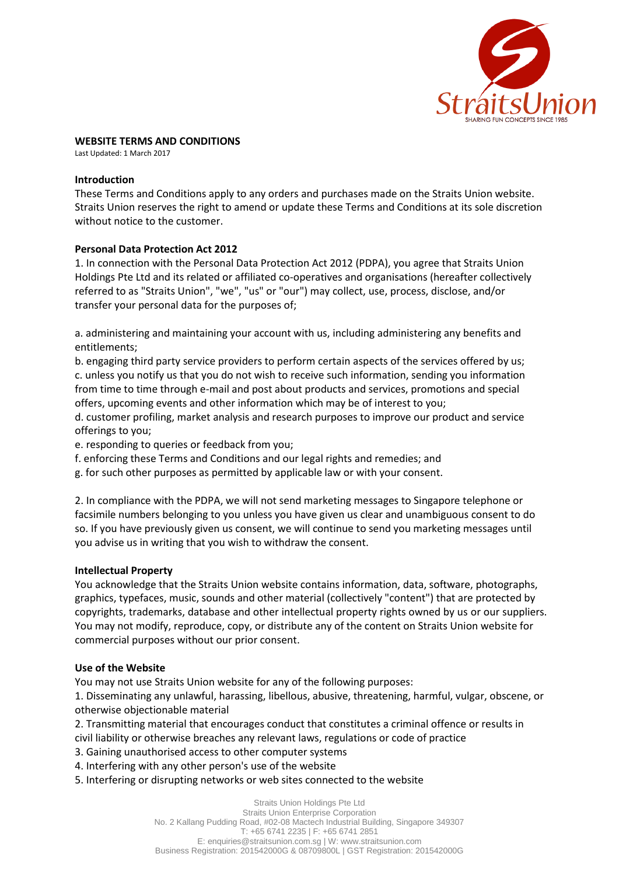

# **WEBSITE TERMS AND CONDITIONS**

Last Updated: 1 March 2017

#### **Introduction**

These Terms and Conditions apply to any orders and purchases made on the Straits Union website. Straits Union reserves the right to amend or update these Terms and Conditions at its sole discretion without notice to the customer.

#### **Personal Data Protection Act 2012**

1. In connection with the Personal Data Protection Act 2012 (PDPA), you agree that Straits Union Holdings Pte Ltd and its related or affiliated co-operatives and organisations (hereafter collectively referred to as "Straits Union", "we", "us" or "our") may collect, use, process, disclose, and/or transfer your personal data for the purposes of;

a. administering and maintaining your account with us, including administering any benefits and entitlements;

b. engaging third party service providers to perform certain aspects of the services offered by us; c. unless you notify us that you do not wish to receive such information, sending you information from time to time through e-mail and post about products and services, promotions and special offers, upcoming events and other information which may be of interest to you;

d. customer profiling, market analysis and research purposes to improve our product and service offerings to you;

e. responding to queries or feedback from you;

f. enforcing these Terms and Conditions and our legal rights and remedies; and

g. for such other purposes as permitted by applicable law or with your consent.

2. In compliance with the PDPA, we will not send marketing messages to Singapore telephone or facsimile numbers belonging to you unless you have given us clear and unambiguous consent to do so. If you have previously given us consent, we will continue to send you marketing messages until you advise us in writing that you wish to withdraw the consent.

#### **Intellectual Property**

You acknowledge that the Straits Union website contains information, data, software, photographs, graphics, typefaces, music, sounds and other material (collectively "content") that are protected by copyrights, trademarks, database and other intellectual property rights owned by us or our suppliers. You may not modify, reproduce, copy, or distribute any of the content on Straits Union website for commercial purposes without our prior consent.

#### **Use of the Website**

You may not use Straits Union website for any of the following purposes:

1. Disseminating any unlawful, harassing, libellous, abusive, threatening, harmful, vulgar, obscene, or otherwise objectionable material

2. Transmitting material that encourages conduct that constitutes a criminal offence or results in civil liability or otherwise breaches any relevant laws, regulations or code of practice

3. Gaining unauthorised access to other computer systems

4. Interfering with any other person's use of the website

5. Interfering or disrupting networks or web sites connected to the website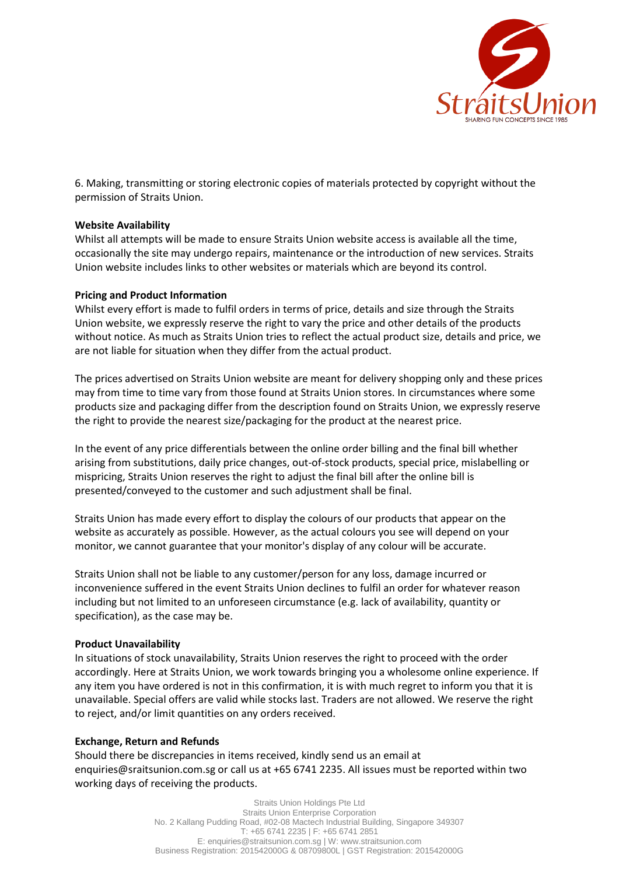

6. Making, transmitting or storing electronic copies of materials protected by copyright without the permission of Straits Union.

# **Website Availability**

Whilst all attempts will be made to ensure Straits Union website access is available all the time, occasionally the site may undergo repairs, maintenance or the introduction of new services. Straits Union website includes links to other websites or materials which are beyond its control.

# **Pricing and Product Information**

Whilst every effort is made to fulfil orders in terms of price, details and size through the Straits Union website, we expressly reserve the right to vary the price and other details of the products without notice. As much as Straits Union tries to reflect the actual product size, details and price, we are not liable for situation when they differ from the actual product.

The prices advertised on Straits Union website are meant for delivery shopping only and these prices may from time to time vary from those found at Straits Union stores. In circumstances where some products size and packaging differ from the description found on Straits Union, we expressly reserve the right to provide the nearest size/packaging for the product at the nearest price.

In the event of any price differentials between the online order billing and the final bill whether arising from substitutions, daily price changes, out-of-stock products, special price, mislabelling or mispricing, Straits Union reserves the right to adjust the final bill after the online bill is presented/conveyed to the customer and such adjustment shall be final.

Straits Union has made every effort to display the colours of our products that appear on the website as accurately as possible. However, as the actual colours you see will depend on your monitor, we cannot guarantee that your monitor's display of any colour will be accurate.

Straits Union shall not be liable to any customer/person for any loss, damage incurred or inconvenience suffered in the event Straits Union declines to fulfil an order for whatever reason including but not limited to an unforeseen circumstance (e.g. lack of availability, quantity or specification), as the case may be.

# **Product Unavailability**

In situations of stock unavailability, Straits Union reserves the right to proceed with the order accordingly. Here at Straits Union, we work towards bringing you a wholesome online experience. If any item you have ordered is not in this confirmation, it is with much regret to inform you that it is unavailable. Special offers are valid while stocks last. Traders are not allowed. We reserve the right to reject, and/or limit quantities on any orders received.

# **Exchange, Return and Refunds**

Should there be discrepancies in items received, kindly send us an email at enquiries@sraitsunion.com.sg or call us at +65 6741 2235. All issues must be reported within two working days of receiving the products.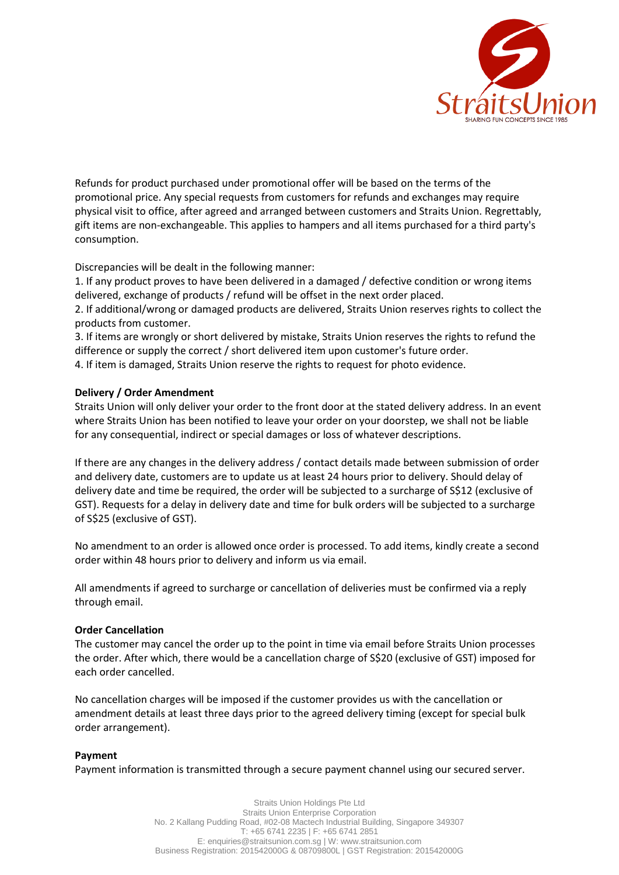

Refunds for product purchased under promotional offer will be based on the terms of the promotional price. Any special requests from customers for refunds and exchanges may require physical visit to office, after agreed and arranged between customers and Straits Union. Regrettably, gift items are non-exchangeable. This applies to hampers and all items purchased for a third party's consumption.

Discrepancies will be dealt in the following manner:

1. If any product proves to have been delivered in a damaged / defective condition or wrong items delivered, exchange of products / refund will be offset in the next order placed.

2. If additional/wrong or damaged products are delivered, Straits Union reserves rights to collect the products from customer.

3. If items are wrongly or short delivered by mistake, Straits Union reserves the rights to refund the difference or supply the correct / short delivered item upon customer's future order. 4. If item is damaged, Straits Union reserve the rights to request for photo evidence.

# **Delivery / Order Amendment**

Straits Union will only deliver your order to the front door at the stated delivery address. In an event where Straits Union has been notified to leave your order on your doorstep, we shall not be liable for any consequential, indirect or special damages or loss of whatever descriptions.

If there are any changes in the delivery address / contact details made between submission of order and delivery date, customers are to update us at least 24 hours prior to delivery. Should delay of delivery date and time be required, the order will be subjected to a surcharge of S\$12 (exclusive of GST). Requests for a delay in delivery date and time for bulk orders will be subjected to a surcharge of S\$25 (exclusive of GST).

No amendment to an order is allowed once order is processed. To add items, kindly create a second order within 48 hours prior to delivery and inform us via email.

All amendments if agreed to surcharge or cancellation of deliveries must be confirmed via a reply through email.

# **Order Cancellation**

The customer may cancel the order up to the point in time via email before Straits Union processes the order. After which, there would be a cancellation charge of S\$20 (exclusive of GST) imposed for each order cancelled.

No cancellation charges will be imposed if the customer provides us with the cancellation or amendment details at least three days prior to the agreed delivery timing (except for special bulk order arrangement).

# **Payment**

Payment information is transmitted through a secure payment channel using our secured server.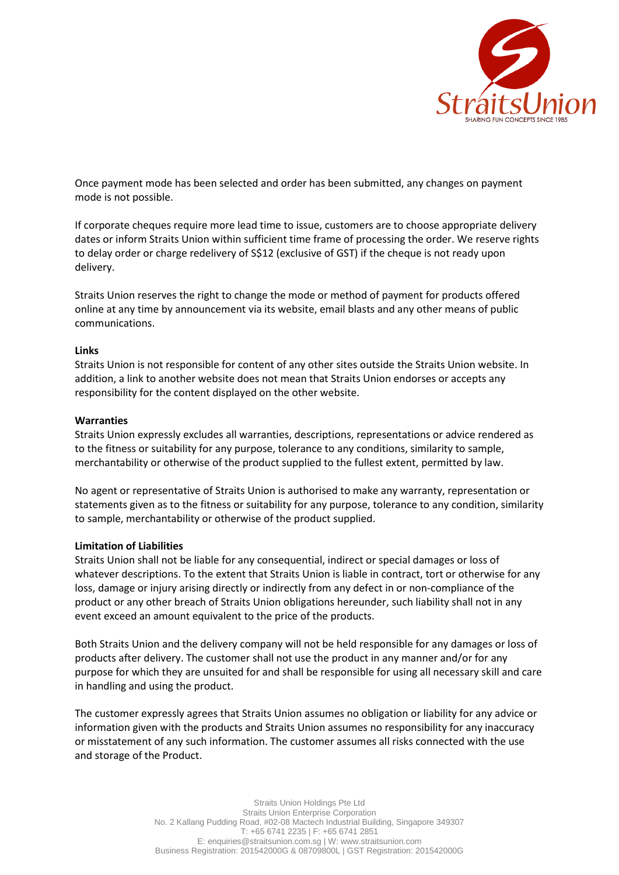

Once payment mode has been selected and order has been submitted, any changes on payment mode is not possible.

If corporate cheques require more lead time to issue, customers are to choose appropriate delivery dates or inform Straits Union within sufficient time frame of processing the order. We reserve rights to delay order or charge redelivery of S\$12 (exclusive of GST) if the cheque is not ready upon delivery.

Straits Union reserves the right to change the mode or method of payment for products offered online at any time by announcement via its website, email blasts and any other means of public communications.

# **Links**

Straits Union is not responsible for content of any other sites outside the Straits Union website. In addition, a link to another website does not mean that Straits Union endorses or accepts any responsibility for the content displayed on the other website.

#### **Warranties**

Straits Union expressly excludes all warranties, descriptions, representations or advice rendered as to the fitness or suitability for any purpose, tolerance to any conditions, similarity to sample, merchantability or otherwise of the product supplied to the fullest extent, permitted by law.

No agent or representative of Straits Union is authorised to make any warranty, representation or statements given as to the fitness or suitability for any purpose, tolerance to any condition, similarity to sample, merchantability or otherwise of the product supplied.

# **Limitation of Liabilities**

Straits Union shall not be liable for any consequential, indirect or special damages or loss of whatever descriptions. To the extent that Straits Union is liable in contract, tort or otherwise for any loss, damage or injury arising directly or indirectly from any defect in or non-compliance of the product or any other breach of Straits Union obligations hereunder, such liability shall not in any event exceed an amount equivalent to the price of the products.

Both Straits Union and the delivery company will not be held responsible for any damages or loss of products after delivery. The customer shall not use the product in any manner and/or for any purpose for which they are unsuited for and shall be responsible for using all necessary skill and care in handling and using the product.

The customer expressly agrees that Straits Union assumes no obligation or liability for any advice or information given with the products and Straits Union assumes no responsibility for any inaccuracy or misstatement of any such information. The customer assumes all risks connected with the use and storage of the Product.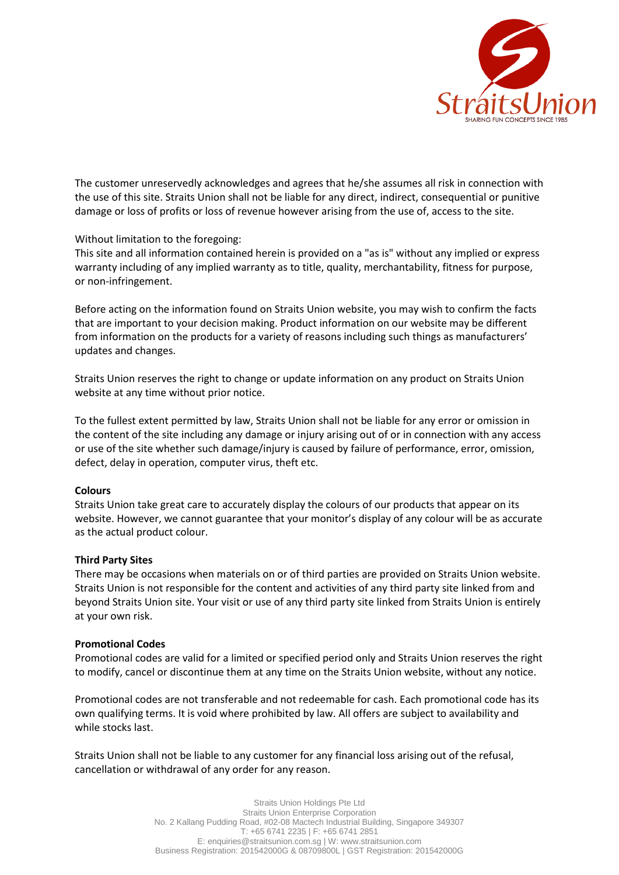

The customer unreservedly acknowledges and agrees that he/she assumes all risk in connection with the use of this site. Straits Union shall not be liable for any direct, indirect, consequential or punitive damage or loss of profits or loss of revenue however arising from the use of, access to the site.

# Without limitation to the foregoing:

This site and all information contained herein is provided on a "as is" without any implied or express warranty including of any implied warranty as to title, quality, merchantability, fitness for purpose, or non-infringement.

Before acting on the information found on Straits Union website, you may wish to confirm the facts that are important to your decision making. Product information on our website may be different from information on the products for a variety of reasons including such things as manufacturers' updates and changes.

Straits Union reserves the right to change or update information on any product on Straits Union website at any time without prior notice.

To the fullest extent permitted by law, Straits Union shall not be liable for any error or omission in the content of the site including any damage or injury arising out of or in connection with any access or use of the site whether such damage/injury is caused by failure of performance, error, omission, defect, delay in operation, computer virus, theft etc.

# **Colours**

Straits Union take great care to accurately display the colours of our products that appear on its website. However, we cannot guarantee that your monitor's display of any colour will be as accurate as the actual product colour.

# **Third Party Sites**

There may be occasions when materials on or of third parties are provided on Straits Union website. Straits Union is not responsible for the content and activities of any third party site linked from and beyond Straits Union site. Your visit or use of any third party site linked from Straits Union is entirely at your own risk.

# **Promotional Codes**

Promotional codes are valid for a limited or specified period only and Straits Union reserves the right to modify, cancel or discontinue them at any time on the Straits Union website, without any notice.

Promotional codes are not transferable and not redeemable for cash. Each promotional code has its own qualifying terms. It is void where prohibited by law. All offers are subject to availability and while stocks last.

Straits Union shall not be liable to any customer for any financial loss arising out of the refusal, cancellation or withdrawal of any order for any reason.